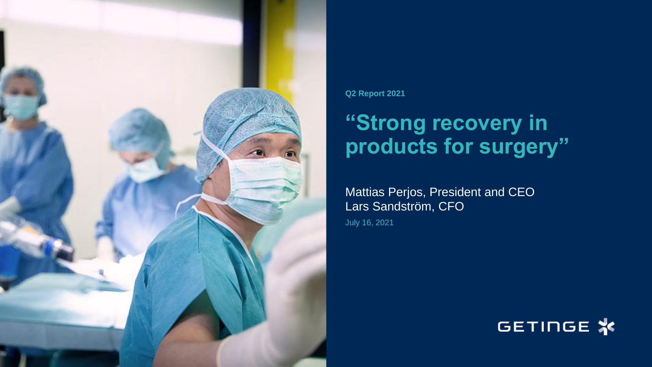

**Q2 Report 2021**

# **"Strong recovery in products for surgery"**

Mattias Perjos, President and CEO Lars Sandström, CFO July 16, 2021

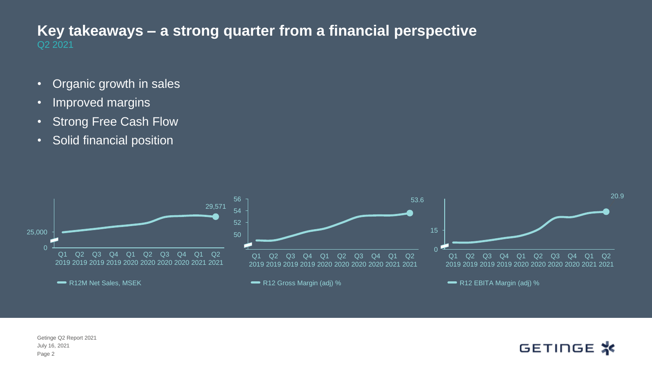#### Q2 2021 **Key takeaways – a strong quarter from a financial perspective**

- Organic growth in sales
- Improved margins
- Strong Free Cash Flow
- Solid financial position

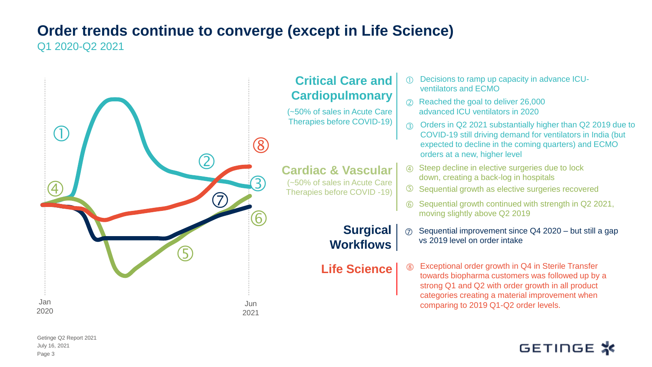# **Order trends continue to converge (except in Life Science)**

Q1 2020-Q2 2021



#### **Critical Care and Cardiopulmonary**

(~50% of sales in Acute Care Therapies before COVID-19)

#### **Cardiac & Vascular** (~50% of sales in Acute Care

**Surgical Workflows**

- Decisions to ramp up capacity in advance ICU ventilators and ECMO
- Reached the goal to deliver 26,000 advanced ICU ventilators in 2020
- Orders in Q2 2021 substantially higher than Q2 2019 due to COVID-19 still driving demand for ventilators in India (but expected to decline in the coming quarters) and ECMO orders at a new, higher level
- Steep decline in elective surgeries due to lock down, creating a back-log in hospitals
- Sequential growth as elective surgeries recovered
- Sequential growth continued with strength in Q2 2021, moving slightly above Q2 2019
- $\oslash$  Sequential improvement since Q4 2020 but still a gap vs 2019 level on order intake
- **Life Science**  $\begin{bmatrix} \circledR 1 \end{bmatrix}$  Exceptional order growth in Q4 in Sterile Transfer towards biopharma customers was followed up by a strong Q1 and Q2 with order growth in all product categories creating a material improvement when comparing to 2019 Q1-Q2 order levels.  $^{\circledR}$

# GETINGE \*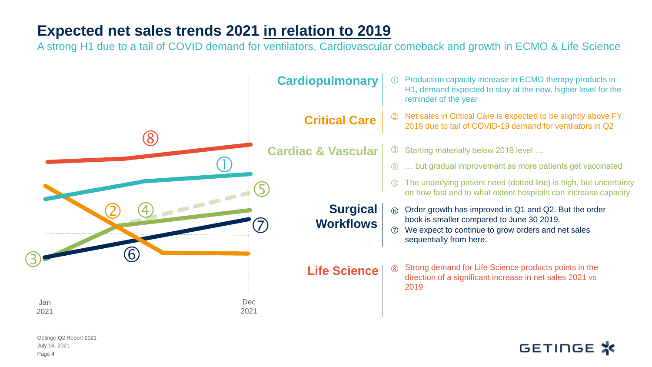### **Expected net sales trends 2021 in relation to 2019**

A strong H1 due to a tail of COVID demand for ventilators, Cardiovascular comeback and growth in ECMO & Life Science

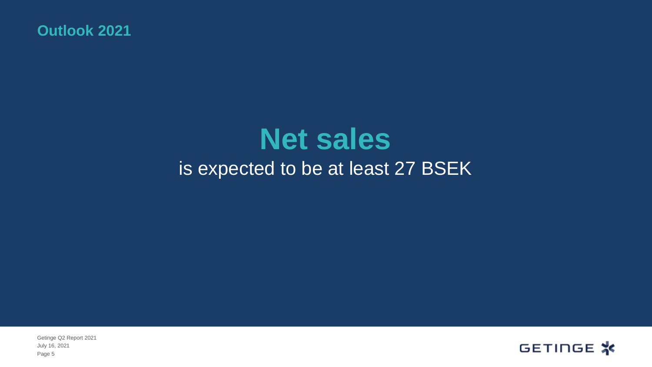**Outlook 2021**

# **Net sales**  is expected to be at least 27 BSEK

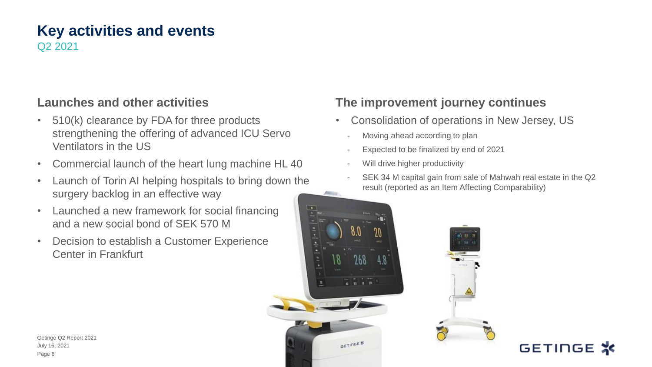#### **Key activities and events** Q2 2021

#### **Launches and other activities**

- 510(k) clearance by FDA for three products strengthening the offering of advanced ICU Servo Ventilators in the US
- Commercial launch of the heart lung machine HL 40
- Launch of Torin AI helping hospitals to bring down the surgery backlog in an effective way
- Launched a new framework for social financing and a new social bond of SEK 570 M
- Decision to establish a Customer Experience Center in Frankfurt

#### **The improvement journey continues**

- Consolidation of operations in New Jersey, US
	- Moving ahead according to plan
	- Expected to be finalized by end of 2021
	- Will drive higher productivity
- SEK 34 M capital gain from sale of Mahwah real estate in the Q2 result (reported as an Item Affecting Comparability)





GETINGE **※**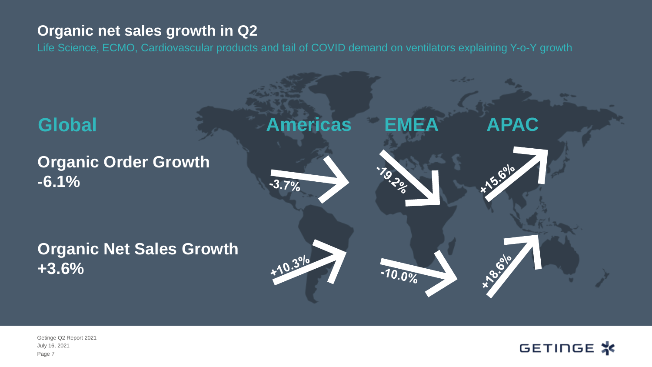#### **Organic net sales growth in Q2**

Life Science, ECMO, Cardiovascular products and tail of COVID demand on ventilators explaining Y-o-Y growth



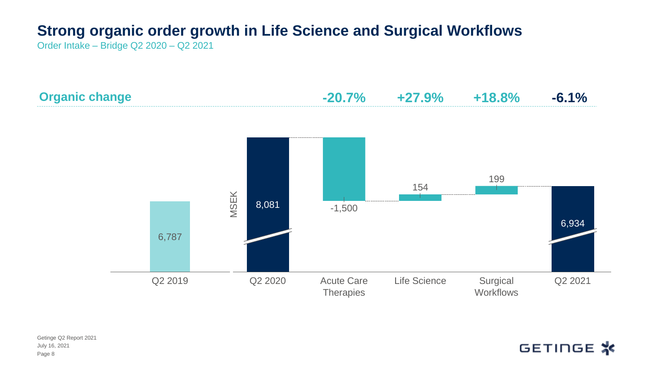# **Strong organic order growth in Life Science and Surgical Workflows**

Order Intake – Bridge Q2 2020 – Q2 2021





July 16, 2021 Getinge Q2 Report 2021 Page 8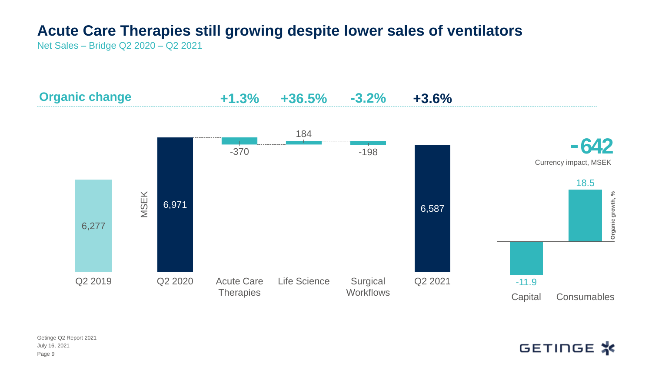# **Acute Care Therapies still growing despite lower sales of ventilators**

Net Sales – Bridge Q2 2020 – Q2 2021

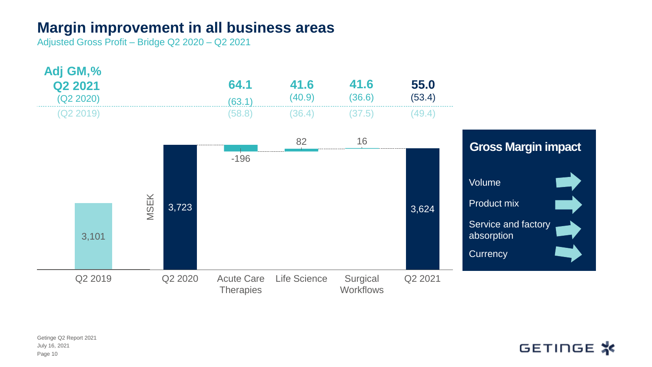#### **Margin improvement in all business areas**

Adjusted Gross Profit – Bridge Q2 2020 – Q2 2021

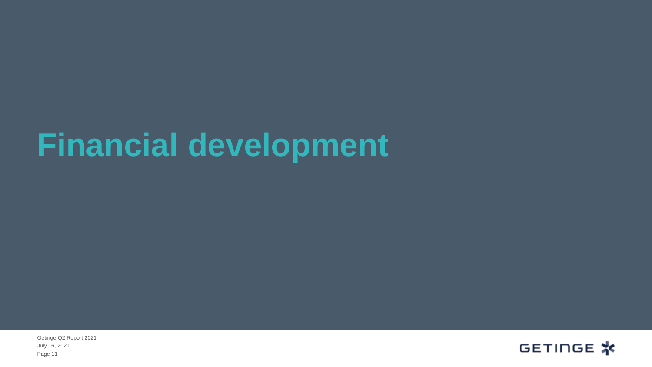# **Financial development**

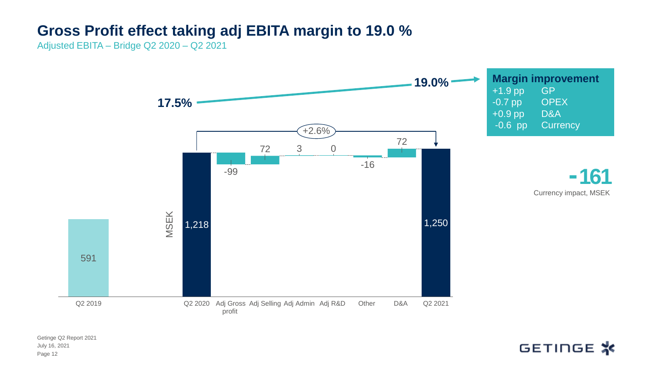#### **Gross Profit effect taking adj EBITA margin to 19.0 %**

Adjusted EBITA – Bridge Q2 2020 – Q2 2021

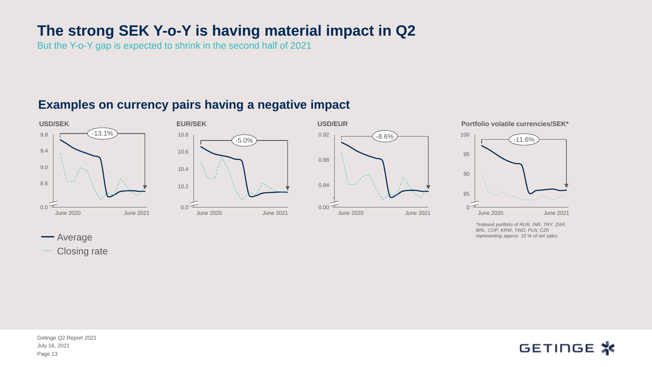### **The strong SEK Y-o-Y is having material impact in Q2**

But the Y-o-Y gap is expected to shrink in the second half of 2021

#### **Examples on currency pairs having a negative impact**







**Portfolio volatile currencies/SEK\***



*\*Indexed portfolio of RUR, INR, TRY, ZAR, BRL, COP, KRW, TWD, PLN, CZK representing approx. 10 % of net sales.* 

**-**Average

Closing rate

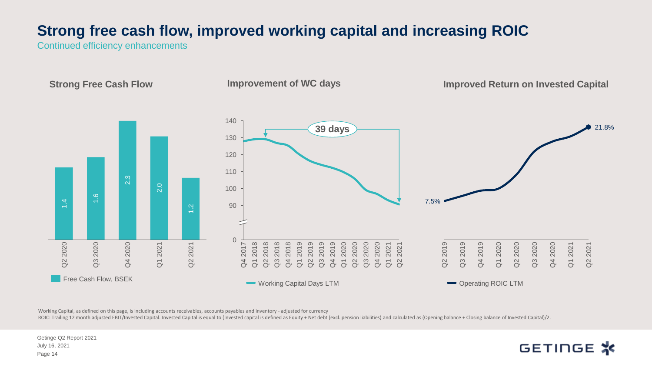## **Strong free cash flow, improved working capital and increasing ROIC**

Continued efficiency enhancements

**Strong Free Cash Flow** 

**Improvement of WC days**

**Improved Return on Invested Capital**

GETINGE \*



Working Capital, as defined on this page, is including accounts receivables, accounts payables and inventory - adjusted for currency

ROIC: Trailing 12 month adjusted EBIT/Invested Capital. Invested Capital is equal to (Invested capital is defined as Equity + Net debt (excl. pension liabilities) and calculated as (Opening balance + Closing balance of Inv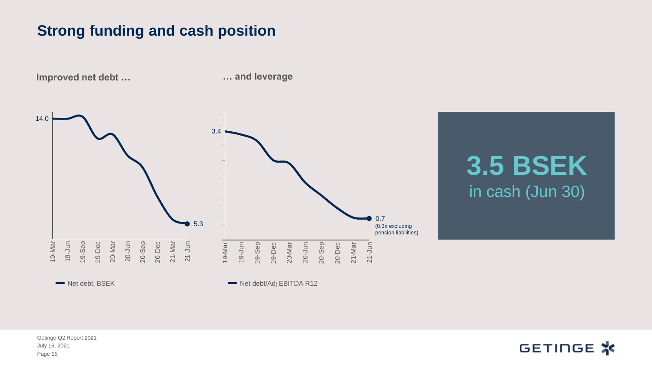#### **Strong funding and cash position**

19-Mar<br>19-Jun<br>19-Sep 14.0 19-Jun 20-Jun 19-Dec 20-Mar 20-Sep 20-Dec 21-Mar 21-Jun **5.3** Net debt, BSEK 19-Mar<br>19-Jun 3.4 19-Sep 20-Sep 19-Dec 20-Mar 20-Jun 20-Dec 21-Mar 0.7 21-Jun Net debt/Adj EBITDA R12 (0.3x excluding pension liabilities)

**… and leverage**

**3.5 BSEK**  in cash (Jun 30)

July 16, 2021 Getinge Q2 Report 2021 Page 15

**Improved net debt …** 

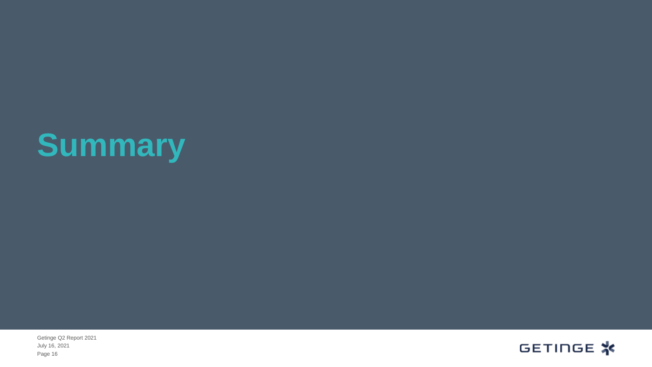# **Summary**

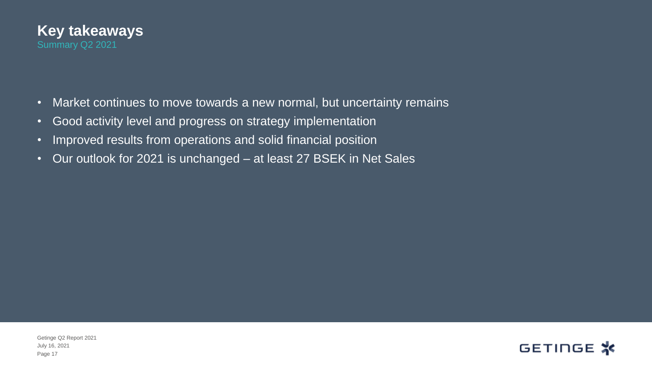

- Market continues to move towards a new normal, but uncertainty remains
- Good activity level and progress on strategy implementation
- Improved results from operations and solid financial position
- Our outlook for 2021 is unchanged at least 27 BSEK in Net Sales

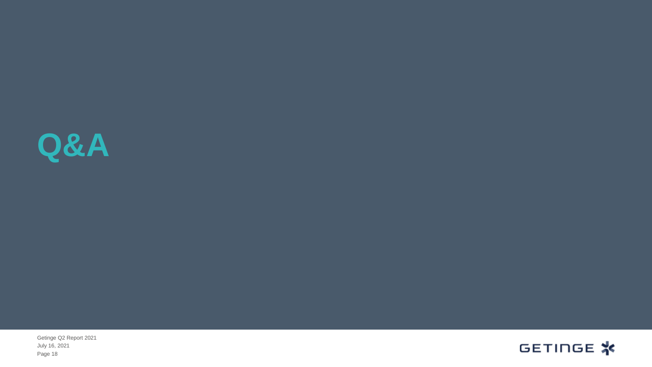

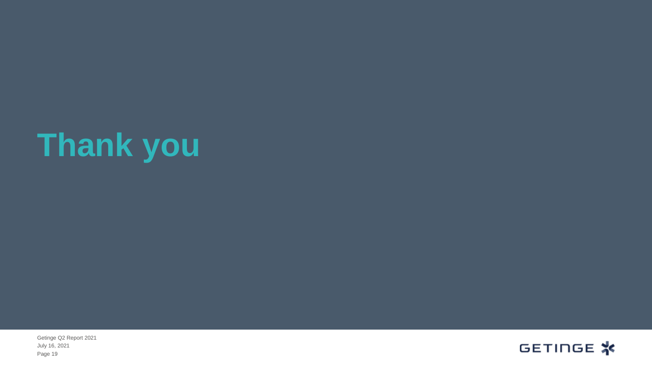# **Thank you**

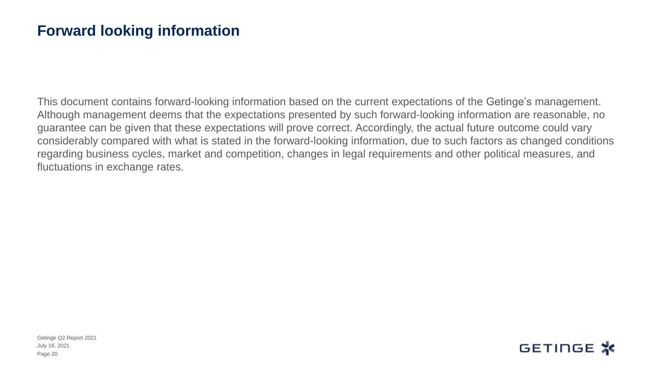#### **Forward looking information**

This document contains forward-looking information based on the current expectations of the Getinge's management. Although management deems that the expectations presented by such forward-looking information are reasonable, no guarantee can be given that these expectations will prove correct. Accordingly, the actual future outcome could vary considerably compared with what is stated in the forward-looking information, due to such factors as changed conditions regarding business cycles, market and competition, changes in legal requirements and other political measures, and fluctuations in exchange rates.